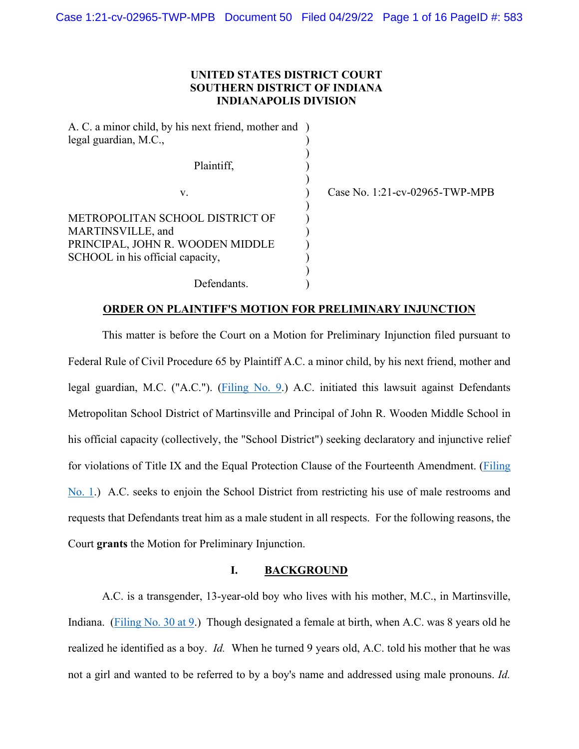# **UNITED STATES DISTRICT COURT SOUTHERN DISTRICT OF INDIANA INDIANAPOLIS DIVISION**

 $\lambda$ )

)

)

) )

) ) )

A. C. a minor child, by his next friend, mother and ) legal guardian, M.C., Plaintiff, (1) METROPOLITAN SCHOOL DISTRICT OF MARTINSVILLE, and PRINCIPAL, JOHN R. WOODEN MIDDLE SCHOOL in his official capacity,

v. (21-cv-02965-TWP-MPB) Case No. 1:21-cv-02965-TWP-MPB

# **ORDER ON PLAINTIFF'S MOTION FOR PRELIMINARY INJUNCTION**

Defendants.

This matter is before the Court on a Motion for Preliminary Injunction filed pursuant to Federal Rule of Civil Procedure 65 by Plaintiff A.C. a minor child, by his next friend, mother and legal guardian, M.C. ("A.C."). (Filing No. 9.) A.C. initiated this lawsuit against Defendants Metropolitan School District of Martinsville and Principal of John R. Wooden Middle School in his official capacity (collectively, the "School District") seeking declaratory and injunctive relief for violations of Title IX and the Equal Protection Clause of the Fourteenth Amendment. (Filing No. 1.) A.C. seeks to enjoin the School District from restricting his use of male restrooms and requests that Defendants treat him as a male student in all respects. For the following reasons, the Court **grants** the Motion for Preliminary Injunction.

### **I. BACKGROUND**

A.C. is a transgender, 13-year-old boy who lives with his mother, M.C., in Martinsville, Indiana. (Filing No. 30 at 9.) Though designated a female at birth, when A.C. was 8 years old he realized he identified as a boy. *Id.* When he turned 9 years old, A.C. told his mother that he was not a girl and wanted to be referred to by a boy's name and addressed using male pronouns. *Id.*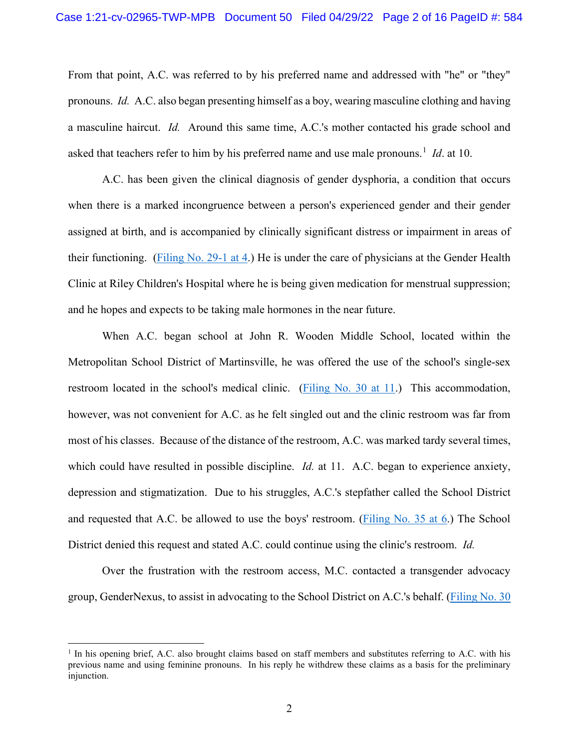From that point, A.C. was referred to by his preferred name and addressed with "he" or "they" pronouns. *Id.* A.C. also began presenting himself as a boy, wearing masculine clothing and having a masculine haircut. *Id.* Around this same time, A.C.'s mother contacted his grade school and asked that teachers refer to him by his preferred name and use male pronouns.<sup>1</sup> *Id.* at 10.

A.C. has been given the clinical diagnosis of gender dysphoria, a condition that occurs when there is a marked incongruence between a person's experienced gender and their gender assigned at birth, and is accompanied by clinically significant distress or impairment in areas of their functioning. (Filing No. 29-1 at 4.) He is under the care of physicians at the Gender Health Clinic at Riley Children's Hospital where he is being given medication for menstrual suppression; and he hopes and expects to be taking male hormones in the near future.

When A.C. began school at John R. Wooden Middle School, located within the Metropolitan School District of Martinsville, he was offered the use of the school's single-sex restroom located in the school's medical clinic. (Filing No. 30 at 11.) This accommodation, however, was not convenient for A.C. as he felt singled out and the clinic restroom was far from most of his classes. Because of the distance of the restroom, A.C. was marked tardy several times, which could have resulted in possible discipline. *Id.* at 11. A.C. began to experience anxiety, depression and stigmatization. Due to his struggles, A.C.'s stepfather called the School District and requested that A.C. be allowed to use the boys' restroom. (Filing No. 35 at 6.) The School District denied this request and stated A.C. could continue using the clinic's restroom. *Id.*

Over the frustration with the restroom access, M.C. contacted a transgender advocacy group, GenderNexus, to assist in advocating to the School District on A.C.'s behalf. (Filing No. 30

 $1$  In his opening brief, A.C. also brought claims based on staff members and substitutes referring to A.C. with his previous name and using feminine pronouns. In his reply he withdrew these claims as a basis for the preliminary injunction.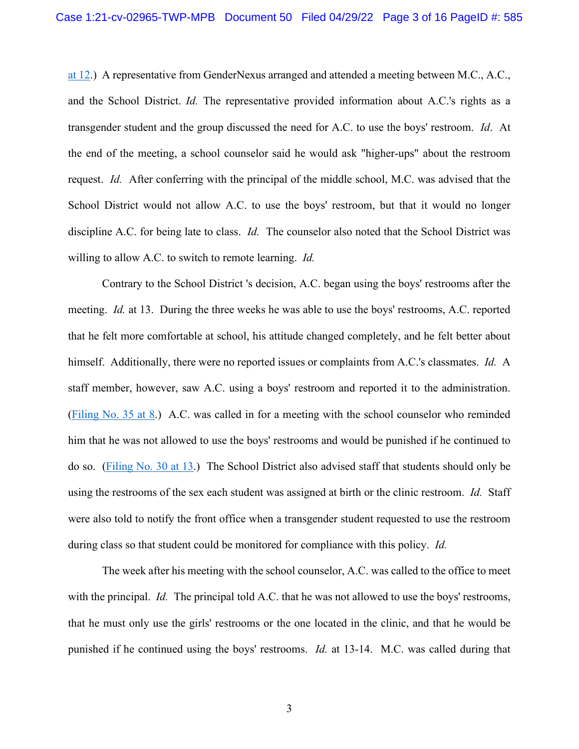at 12.) A representative from GenderNexus arranged and attended a meeting between M.C., A.C., and the School District. *Id.* The representative provided information about A.C.'s rights as a transgender student and the group discussed the need for A.C. to use the boys' restroom. *Id*. At the end of the meeting, a school counselor said he would ask "higher-ups" about the restroom request. *Id.* After conferring with the principal of the middle school, M.C. was advised that the School District would not allow A.C. to use the boys' restroom, but that it would no longer discipline A.C. for being late to class. *Id.* The counselor also noted that the School District was willing to allow A.C. to switch to remote learning. *Id.*

Contrary to the School District 's decision, A.C. began using the boys' restrooms after the meeting. *Id.* at 13. During the three weeks he was able to use the boys' restrooms, A.C. reported that he felt more comfortable at school, his attitude changed completely, and he felt better about himself. Additionally, there were no reported issues or complaints from A.C.'s classmates. *Id.* A staff member, however, saw A.C. using a boys' restroom and reported it to the administration. (Filing No. 35 at 8.) A.C. was called in for a meeting with the school counselor who reminded him that he was not allowed to use the boys' restrooms and would be punished if he continued to do so. (Filing No. 30 at 13.) The School District also advised staff that students should only be using the restrooms of the sex each student was assigned at birth or the clinic restroom. *Id.* Staff were also told to notify the front office when a transgender student requested to use the restroom during class so that student could be monitored for compliance with this policy. *Id.*

The week after his meeting with the school counselor, A.C. was called to the office to meet with the principal. *Id.* The principal told A.C. that he was not allowed to use the boys' restrooms, that he must only use the girls' restrooms or the one located in the clinic, and that he would be punished if he continued using the boys' restrooms. *Id.* at 13-14. M.C. was called during that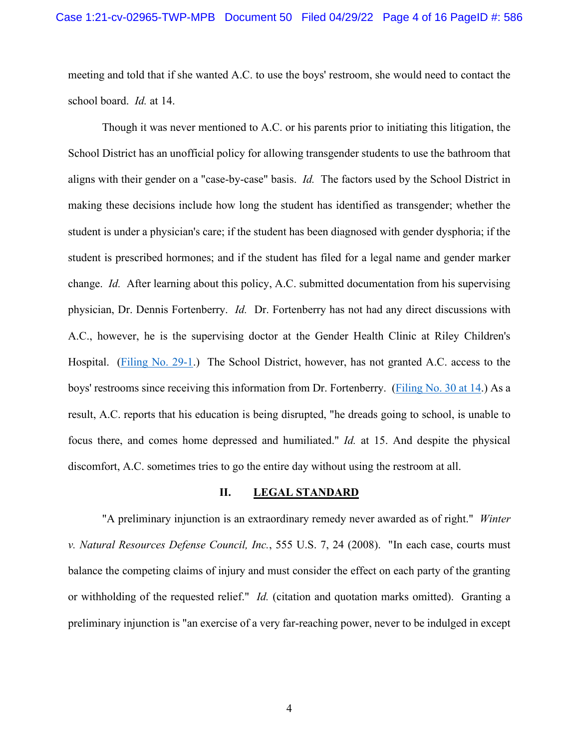meeting and told that if she wanted A.C. to use the boys' restroom, she would need to contact the school board. *Id.* at 14.

Though it was never mentioned to A.C. or his parents prior to initiating this litigation, the School District has an unofficial policy for allowing transgender students to use the bathroom that aligns with their gender on a "case-by-case" basis. *Id.* The factors used by the School District in making these decisions include how long the student has identified as transgender; whether the student is under a physician's care; if the student has been diagnosed with gender dysphoria; if the student is prescribed hormones; and if the student has filed for a legal name and gender marker change. *Id.* After learning about this policy, A.C. submitted documentation from his supervising physician, Dr. Dennis Fortenberry. *Id.* Dr. Fortenberry has not had any direct discussions with A.C., however, he is the supervising doctor at the Gender Health Clinic at Riley Children's Hospital. (Filing No. 29-1.) The School District, however, has not granted A.C. access to the boys' restrooms since receiving this information from Dr. Fortenberry. (Filing No. 30 at 14.) As a result, A.C. reports that his education is being disrupted, "he dreads going to school, is unable to focus there, and comes home depressed and humiliated." *Id.* at 15. And despite the physical discomfort, A.C. sometimes tries to go the entire day without using the restroom at all.

#### **II. LEGAL STANDARD**

"A preliminary injunction is an extraordinary remedy never awarded as of right." *Winter v. Natural Resources Defense Council, Inc.*, 555 U.S. 7, 24 (2008). "In each case, courts must balance the competing claims of injury and must consider the effect on each party of the granting or withholding of the requested relief." *Id.* (citation and quotation marks omitted). Granting a preliminary injunction is "an exercise of a very far-reaching power, never to be indulged in except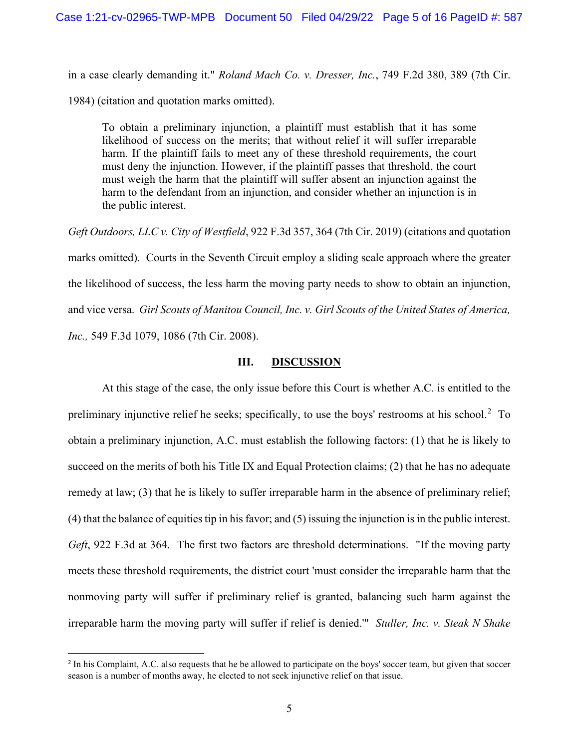in a case clearly demanding it." *Roland Mach Co. v. Dresser, Inc.*, 749 F.2d 380, 389 (7th Cir.

1984) (citation and quotation marks omitted).

To obtain a preliminary injunction, a plaintiff must establish that it has some likelihood of success on the merits; that without relief it will suffer irreparable harm. If the plaintiff fails to meet any of these threshold requirements, the court must deny the injunction. However, if the plaintiff passes that threshold, the court must weigh the harm that the plaintiff will suffer absent an injunction against the harm to the defendant from an injunction, and consider whether an injunction is in the public interest.

*Geft Outdoors, LLC v. City of Westfield*, 922 F.3d 357, 364 (7th Cir. 2019) (citations and quotation marks omitted). Courts in the Seventh Circuit employ a sliding scale approach where the greater the likelihood of success, the less harm the moving party needs to show to obtain an injunction, and vice versa. *Girl Scouts of Manitou Council, Inc. v. Girl Scouts of the United States of America, Inc.,* 549 F.3d 1079, 1086 (7th Cir. 2008).

### **III. DISCUSSION**

At this stage of the case, the only issue before this Court is whether A.C. is entitled to the preliminary injunctive relief he seeks; specifically, to use the boys' restrooms at his school.<sup>2</sup> To obtain a preliminary injunction, A.C. must establish the following factors: (1) that he is likely to succeed on the merits of both his Title IX and Equal Protection claims; (2) that he has no adequate remedy at law; (3) that he is likely to suffer irreparable harm in the absence of preliminary relief; (4) that the balance of equities tip in his favor; and (5) issuing the injunction is in the public interest. *Geft*, 922 F.3d at 364. The first two factors are threshold determinations. "If the moving party meets these threshold requirements, the district court 'must consider the irreparable harm that the nonmoving party will suffer if preliminary relief is granted, balancing such harm against the irreparable harm the moving party will suffer if relief is denied.'" *Stuller, Inc. v. Steak N Shake* 

<sup>&</sup>lt;sup>2</sup> In his Complaint, A.C. also requests that he be allowed to participate on the boys' soccer team, but given that soccer season is a number of months away, he elected to not seek injunctive relief on that issue.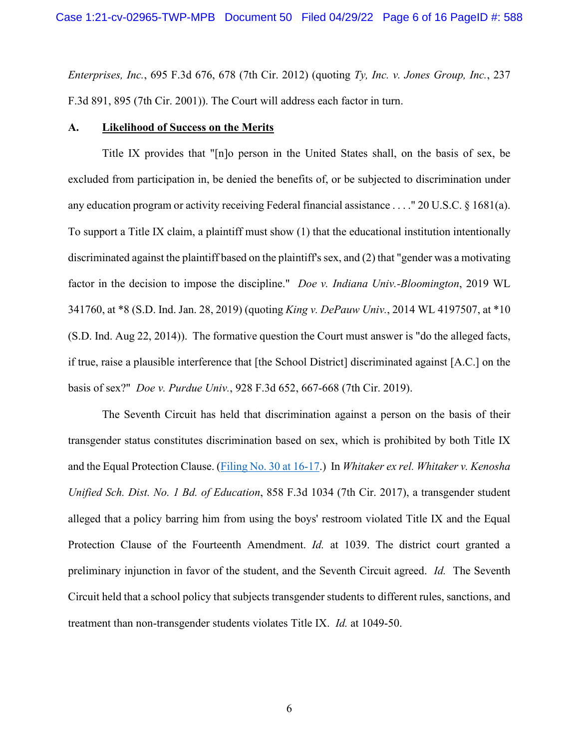*Enterprises, Inc.*, 695 F.3d 676, 678 (7th Cir. 2012) (quoting *Ty, Inc. v. Jones Group, Inc.*, 237 F.3d 891, 895 (7th Cir. 2001)). The Court will address each factor in turn.

# **A. Likelihood of Success on the Merits**

Title IX provides that "[n]o person in the United States shall, on the basis of sex, be excluded from participation in, be denied the benefits of, or be subjected to discrimination under any education program or activity receiving Federal financial assistance . . . ." 20 U.S.C. § 1681(a). To support a Title IX claim, a plaintiff must show (1) that the educational institution intentionally discriminated against the plaintiff based on the plaintiff's sex, and (2) that "gender was a motivating factor in the decision to impose the discipline." *Doe v. Indiana Univ.-Bloomington*, 2019 WL 341760, at \*8 (S.D. Ind. Jan. 28, 2019) (quoting *King v. DePauw Univ.*, 2014 WL 4197507, at \*10 (S.D. Ind. Aug 22, 2014)). The formative question the Court must answer is "do the alleged facts, if true, raise a plausible interference that [the School District] discriminated against [A.C.] on the basis of sex?" *Doe v. Purdue Univ.*, 928 F.3d 652, 667-668 (7th Cir. 2019).

The Seventh Circuit has held that discrimination against a person on the basis of their transgender status constitutes discrimination based on sex, which is prohibited by both Title IX and the Equal Protection Clause. (Filing No. 30 at 16-17.) In *Whitaker ex rel. Whitaker v. Kenosha Unified Sch. Dist. No. 1 Bd. of Education*, 858 F.3d 1034 (7th Cir. 2017), a transgender student alleged that a policy barring him from using the boys' restroom violated Title IX and the Equal Protection Clause of the Fourteenth Amendment. *Id.* at 1039. The district court granted a preliminary injunction in favor of the student, and the Seventh Circuit agreed. *Id.* The Seventh Circuit held that a school policy that subjects transgender students to different rules, sanctions, and treatment than non-transgender students violates Title IX. *Id.* at 1049-50.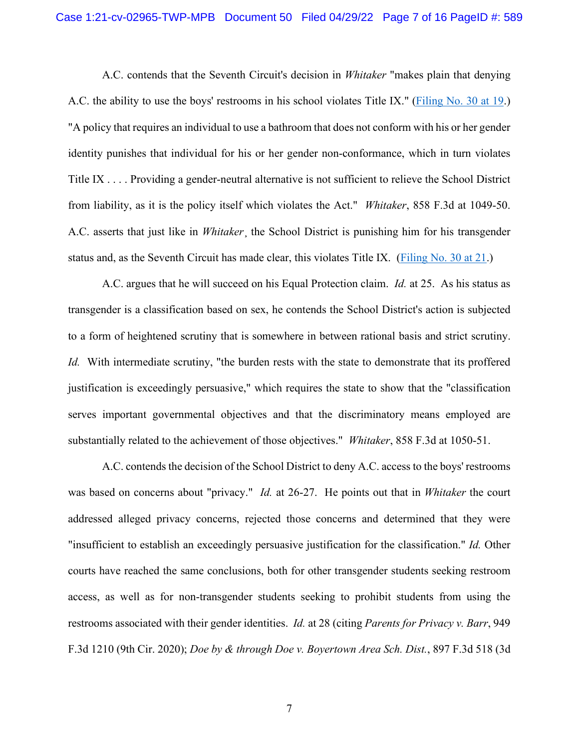A.C. contends that the Seventh Circuit's decision in *Whitaker* "makes plain that denying A.C. the ability to use the boys' restrooms in his school violates Title IX." (Filing No. 30 at 19.) "A policy that requires an individual to use a bathroom that does not conform with his or her gender identity punishes that individual for his or her gender non-conformance, which in turn violates Title IX . . . . Providing a gender-neutral alternative is not sufficient to relieve the School District from liability, as it is the policy itself which violates the Act." *Whitaker*, 858 F.3d at 1049-50. A.C. asserts that just like in *Whitaker*¸ the School District is punishing him for his transgender status and, as the Seventh Circuit has made clear, this violates Title IX. (Filing No. 30 at 21.)

A.C. argues that he will succeed on his Equal Protection claim. *Id.* at 25. As his status as transgender is a classification based on sex, he contends the School District's action is subjected to a form of heightened scrutiny that is somewhere in between rational basis and strict scrutiny. *Id.* With intermediate scrutiny, "the burden rests with the state to demonstrate that its proffered justification is exceedingly persuasive," which requires the state to show that the "classification serves important governmental objectives and that the discriminatory means employed are substantially related to the achievement of those objectives." *Whitaker*, 858 F.3d at 1050-51.

A.C. contends the decision of the School District to deny A.C. access to the boys' restrooms was based on concerns about "privacy." *Id.* at 26-27. He points out that in *Whitaker* the court addressed alleged privacy concerns, rejected those concerns and determined that they were "insufficient to establish an exceedingly persuasive justification for the classification." *Id.* Other courts have reached the same conclusions, both for other transgender students seeking restroom access, as well as for non-transgender students seeking to prohibit students from using the restrooms associated with their gender identities. *Id.* at 28 (citing *Parents for Privacy v. Barr*, 949 F.3d 1210 (9th Cir. 2020); *Doe by & through Doe v. Boyertown Area Sch. Dist.*, 897 F.3d 518 (3d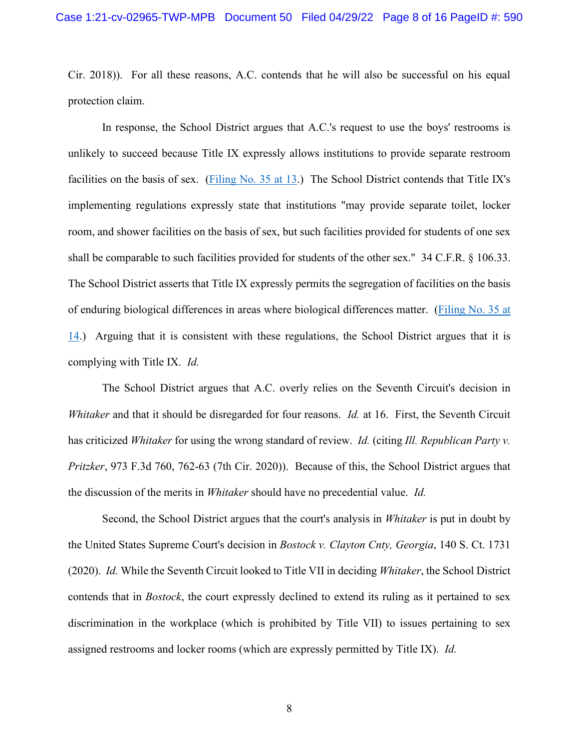Cir. 2018)). For all these reasons, A.C. contends that he will also be successful on his equal protection claim.

In response, the School District argues that A.C.'s request to use the boys' restrooms is unlikely to succeed because Title IX expressly allows institutions to provide separate restroom facilities on the basis of sex. (Filing No. 35 at 13.) The School District contends that Title IX's implementing regulations expressly state that institutions "may provide separate toilet, locker room, and shower facilities on the basis of sex, but such facilities provided for students of one sex shall be comparable to such facilities provided for students of the other sex." 34 C.F.R. § 106.33. The School District asserts that Title IX expressly permits the segregation of facilities on the basis of enduring biological differences in areas where biological differences matter. (Filing No. 35 at 14.) Arguing that it is consistent with these regulations, the School District argues that it is complying with Title IX. *Id.*

The School District argues that A.C. overly relies on the Seventh Circuit's decision in *Whitaker* and that it should be disregarded for four reasons. *Id.* at 16. First, the Seventh Circuit has criticized *Whitaker* for using the wrong standard of review. *Id.* (citing *Ill. Republican Party v. Pritzker*, 973 F.3d 760, 762-63 (7th Cir. 2020)). Because of this, the School District argues that the discussion of the merits in *Whitaker* should have no precedential value. *Id.*

Second, the School District argues that the court's analysis in *Whitaker* is put in doubt by the United States Supreme Court's decision in *Bostock v. Clayton Cnty, Georgia*, 140 S. Ct. 1731 (2020). *Id.* While the Seventh Circuit looked to Title VII in deciding *Whitaker*, the School District contends that in *Bostock*, the court expressly declined to extend its ruling as it pertained to sex discrimination in the workplace (which is prohibited by Title VII) to issues pertaining to sex assigned restrooms and locker rooms (which are expressly permitted by Title IX). *Id.*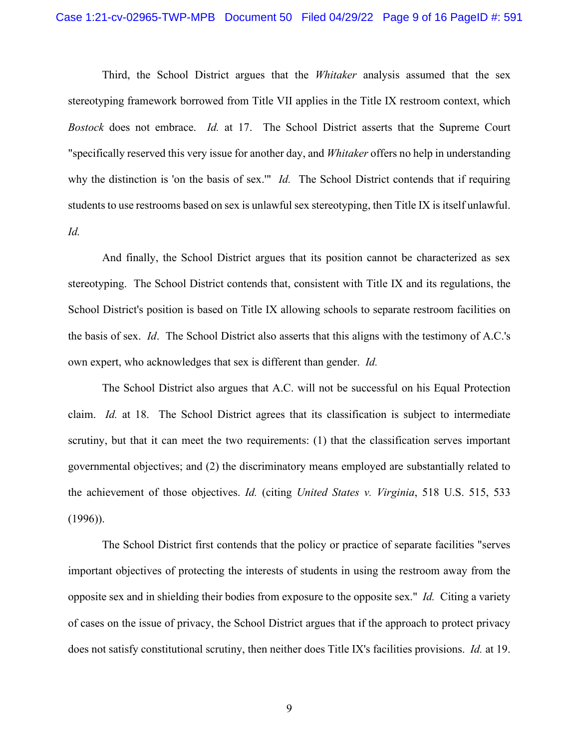Third, the School District argues that the *Whitaker* analysis assumed that the sex stereotyping framework borrowed from Title VII applies in the Title IX restroom context, which *Bostock* does not embrace. *Id.* at 17. The School District asserts that the Supreme Court "specifically reserved this very issue for another day, and *Whitaker* offers no help in understanding why the distinction is 'on the basis of sex.'" *Id.* The School District contends that if requiring students to use restrooms based on sex is unlawful sex stereotyping, then Title IX is itself unlawful. *Id.*

And finally, the School District argues that its position cannot be characterized as sex stereotyping. The School District contends that, consistent with Title IX and its regulations, the School District's position is based on Title IX allowing schools to separate restroom facilities on the basis of sex. *Id*. The School District also asserts that this aligns with the testimony of A.C.'s own expert, who acknowledges that sex is different than gender. *Id.*

The School District also argues that A.C. will not be successful on his Equal Protection claim. *Id.* at 18. The School District agrees that its classification is subject to intermediate scrutiny, but that it can meet the two requirements: (1) that the classification serves important governmental objectives; and (2) the discriminatory means employed are substantially related to the achievement of those objectives. *Id.* (citing *United States v. Virginia*, 518 U.S. 515, 533 (1996)).

The School District first contends that the policy or practice of separate facilities "serves important objectives of protecting the interests of students in using the restroom away from the opposite sex and in shielding their bodies from exposure to the opposite sex." *Id.* Citing a variety of cases on the issue of privacy, the School District argues that if the approach to protect privacy does not satisfy constitutional scrutiny, then neither does Title IX's facilities provisions. *Id.* at 19.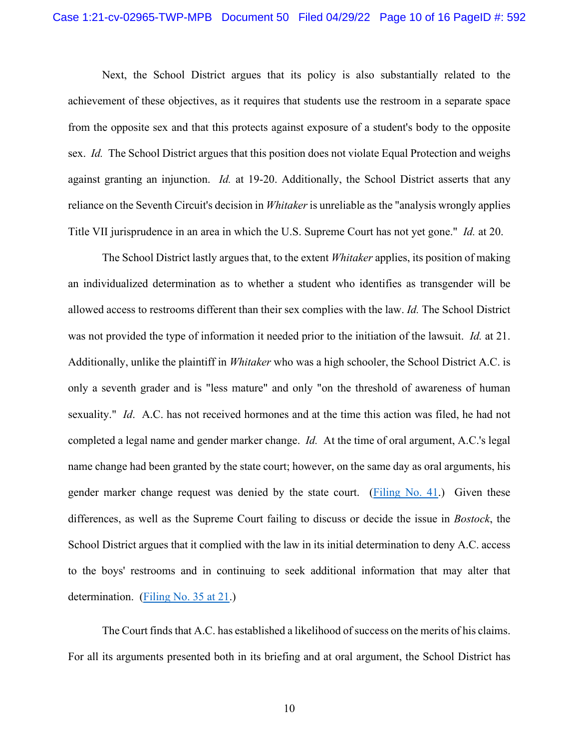Next, the School District argues that its policy is also substantially related to the achievement of these objectives, as it requires that students use the restroom in a separate space from the opposite sex and that this protects against exposure of a student's body to the opposite sex. *Id.* The School District argues that this position does not violate Equal Protection and weighs against granting an injunction. *Id.* at 19-20. Additionally, the School District asserts that any reliance on the Seventh Circuit's decision in *Whitaker* is unreliable as the "analysis wrongly applies Title VII jurisprudence in an area in which the U.S. Supreme Court has not yet gone." *Id.* at 20.

The School District lastly argues that, to the extent *Whitaker* applies, its position of making an individualized determination as to whether a student who identifies as transgender will be allowed access to restrooms different than their sex complies with the law. *Id.* The School District was not provided the type of information it needed prior to the initiation of the lawsuit. *Id.* at 21. Additionally, unlike the plaintiff in *Whitaker* who was a high schooler, the School District A.C. is only a seventh grader and is "less mature" and only "on the threshold of awareness of human sexuality." *Id*. A.C. has not received hormones and at the time this action was filed, he had not completed a legal name and gender marker change. *Id.* At the time of oral argument, A.C.'s legal name change had been granted by the state court; however, on the same day as oral arguments, his gender marker change request was denied by the state court. (Filing No. 41.) Given these differences, as well as the Supreme Court failing to discuss or decide the issue in *Bostock*, the School District argues that it complied with the law in its initial determination to deny A.C. access to the boys' restrooms and in continuing to seek additional information that may alter that determination. (Filing No. 35 at 21.)

The Court finds that A.C. has established a likelihood of success on the merits of his claims. For all its arguments presented both in its briefing and at oral argument, the School District has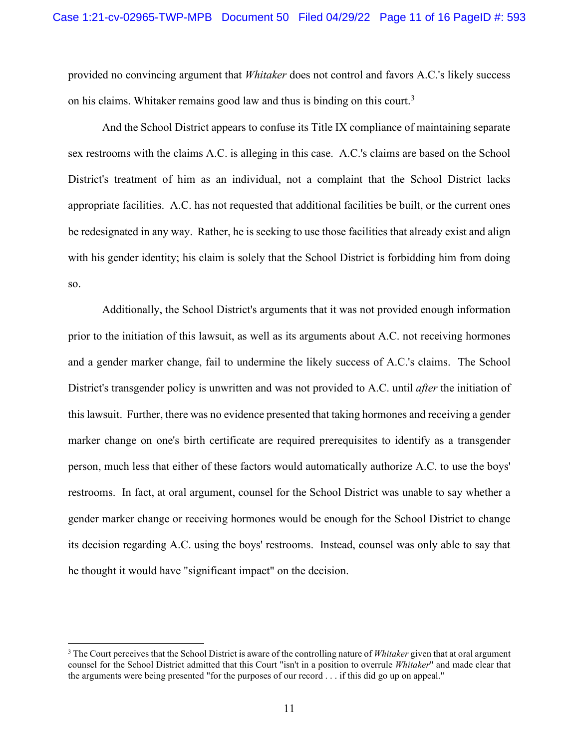provided no convincing argument that *Whitaker* does not control and favors A.C.'s likely success on his claims. Whitaker remains good law and thus is binding on this court.<sup>3</sup>

And the School District appears to confuse its Title IX compliance of maintaining separate sex restrooms with the claims A.C. is alleging in this case. A.C.'s claims are based on the School District's treatment of him as an individual, not a complaint that the School District lacks appropriate facilities. A.C. has not requested that additional facilities be built, or the current ones be redesignated in any way. Rather, he is seeking to use those facilities that already exist and align with his gender identity; his claim is solely that the School District is forbidding him from doing so.

Additionally, the School District's arguments that it was not provided enough information prior to the initiation of this lawsuit, as well as its arguments about A.C. not receiving hormones and a gender marker change, fail to undermine the likely success of A.C.'s claims. The School District's transgender policy is unwritten and was not provided to A.C. until *after* the initiation of this lawsuit. Further, there was no evidence presented that taking hormones and receiving a gender marker change on one's birth certificate are required prerequisites to identify as a transgender person, much less that either of these factors would automatically authorize A.C. to use the boys' restrooms. In fact, at oral argument, counsel for the School District was unable to say whether a gender marker change or receiving hormones would be enough for the School District to change its decision regarding A.C. using the boys' restrooms. Instead, counsel was only able to say that he thought it would have "significant impact" on the decision.

<sup>3</sup> The Court perceives that the School District is aware of the controlling nature of *Whitaker* given that at oral argument counsel for the School District admitted that this Court "isn't in a position to overrule *Whitaker*" and made clear that the arguments were being presented "for the purposes of our record . . . if this did go up on appeal."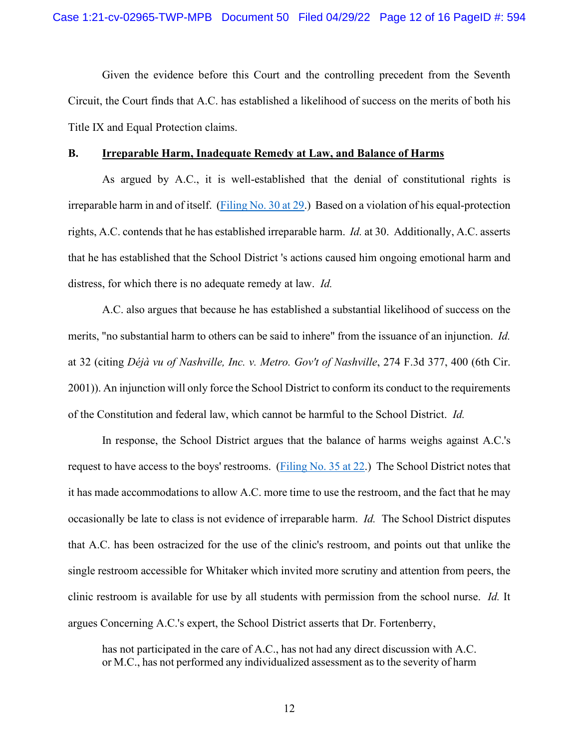Given the evidence before this Court and the controlling precedent from the Seventh Circuit, the Court finds that A.C. has established a likelihood of success on the merits of both his Title IX and Equal Protection claims.

### **B. Irreparable Harm, Inadequate Remedy at Law, and Balance of Harms**

As argued by A.C., it is well-established that the denial of constitutional rights is irreparable harm in and of itself. (Filing No. 30 at 29.) Based on a violation of his equal-protection rights, A.C. contends that he has established irreparable harm. *Id.* at 30. Additionally, A.C. asserts that he has established that the School District 's actions caused him ongoing emotional harm and distress, for which there is no adequate remedy at law. *Id.*

A.C. also argues that because he has established a substantial likelihood of success on the merits, "no substantial harm to others can be said to inhere" from the issuance of an injunction. *Id.* at 32 (citing *Déjà vu of Nashville, Inc. v. Metro. Gov't of Nashville*, 274 F.3d 377, 400 (6th Cir. 2001)). An injunction will only force the School District to conform its conduct to the requirements of the Constitution and federal law, which cannot be harmful to the School District. *Id.*

In response, the School District argues that the balance of harms weighs against A.C.'s request to have access to the boys' restrooms. (Filing No. 35 at 22.) The School District notes that it has made accommodations to allow A.C. more time to use the restroom, and the fact that he may occasionally be late to class is not evidence of irreparable harm. *Id.* The School District disputes that A.C. has been ostracized for the use of the clinic's restroom, and points out that unlike the single restroom accessible for Whitaker which invited more scrutiny and attention from peers, the clinic restroom is available for use by all students with permission from the school nurse. *Id.* It argues Concerning A.C.'s expert, the School District asserts that Dr. Fortenberry,

has not participated in the care of A.C., has not had any direct discussion with A.C. or M.C., has not performed any individualized assessment as to the severity of harm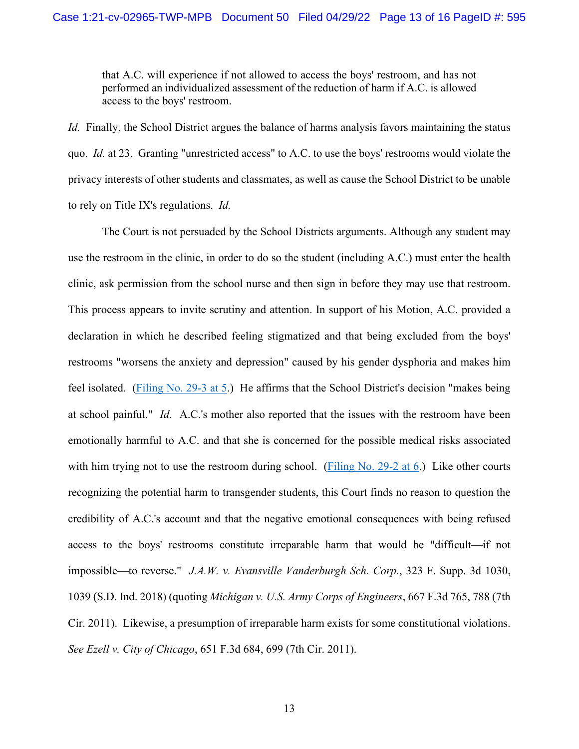that A.C. will experience if not allowed to access the boys' restroom, and has not performed an individualized assessment of the reduction of harm if A.C. is allowed access to the boys' restroom.

*Id.* Finally, the School District argues the balance of harms analysis favors maintaining the status quo. *Id.* at 23. Granting "unrestricted access" to A.C. to use the boys' restrooms would violate the privacy interests of other students and classmates, as well as cause the School District to be unable to rely on Title IX's regulations. *Id.*

The Court is not persuaded by the School Districts arguments. Although any student may use the restroom in the clinic, in order to do so the student (including A.C.) must enter the health clinic, ask permission from the school nurse and then sign in before they may use that restroom. This process appears to invite scrutiny and attention. In support of his Motion, A.C. provided a declaration in which he described feeling stigmatized and that being excluded from the boys' restrooms "worsens the anxiety and depression" caused by his gender dysphoria and makes him feel isolated. (Filing No. 29-3 at 5.) He affirms that the School District's decision "makes being at school painful." *Id.* A.C.'s mother also reported that the issues with the restroom have been emotionally harmful to A.C. and that she is concerned for the possible medical risks associated with him trying not to use the restroom during school. (Filing No. 29-2 at 6.) Like other courts recognizing the potential harm to transgender students, this Court finds no reason to question the credibility of A.C.'s account and that the negative emotional consequences with being refused access to the boys' restrooms constitute irreparable harm that would be "difficult—if not impossible—to reverse." *J.A.W. v. Evansville Vanderburgh Sch. Corp.*, 323 F. Supp. 3d 1030, 1039 (S.D. Ind. 2018) (quoting *Michigan v. U.S. Army Corps of Engineers*, 667 F.3d 765, 788 (7th Cir. 2011). Likewise, a presumption of irreparable harm exists for some constitutional violations. *See Ezell v. City of Chicago*, 651 F.3d 684, 699 (7th Cir. 2011).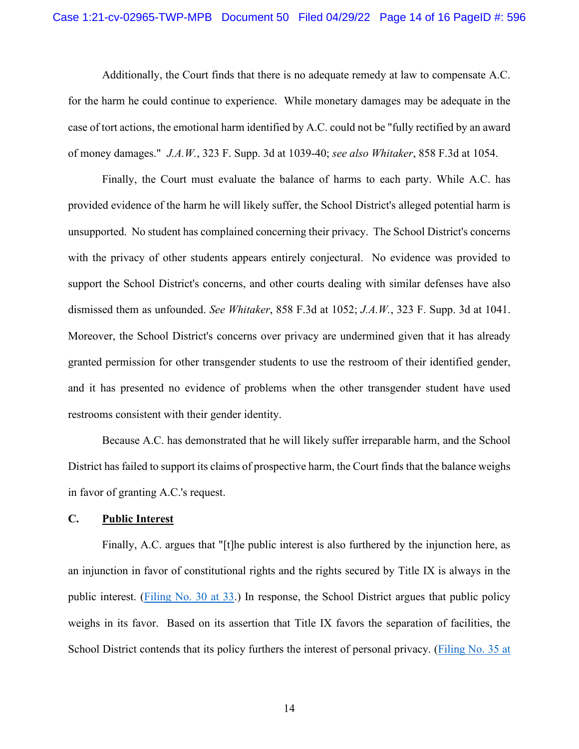Additionally, the Court finds that there is no adequate remedy at law to compensate A.C. for the harm he could continue to experience. While monetary damages may be adequate in the case of tort actions, the emotional harm identified by A.C. could not be "fully rectified by an award of money damages." *J.A.W.*, 323 F. Supp. 3d at 1039-40; *see also Whitaker*, 858 F.3d at 1054.

Finally, the Court must evaluate the balance of harms to each party. While A.C. has provided evidence of the harm he will likely suffer, the School District's alleged potential harm is unsupported. No student has complained concerning their privacy. The School District's concerns with the privacy of other students appears entirely conjectural. No evidence was provided to support the School District's concerns, and other courts dealing with similar defenses have also dismissed them as unfounded. *See Whitaker*, 858 F.3d at 1052; *J.A.W.*, 323 F. Supp. 3d at 1041. Moreover, the School District's concerns over privacy are undermined given that it has already granted permission for other transgender students to use the restroom of their identified gender, and it has presented no evidence of problems when the other transgender student have used restrooms consistent with their gender identity.

Because A.C. has demonstrated that he will likely suffer irreparable harm, and the School District has failed to support its claims of prospective harm, the Court finds that the balance weighs in favor of granting A.C.'s request.

# **C. Public Interest**

Finally, A.C. argues that "[t]he public interest is also furthered by the injunction here, as an injunction in favor of constitutional rights and the rights secured by Title IX is always in the public interest. (Filing No. 30 at 33.) In response, the School District argues that public policy weighs in its favor. Based on its assertion that Title IX favors the separation of facilities, the School District contends that its policy furthers the interest of personal privacy. (Filing No. 35 at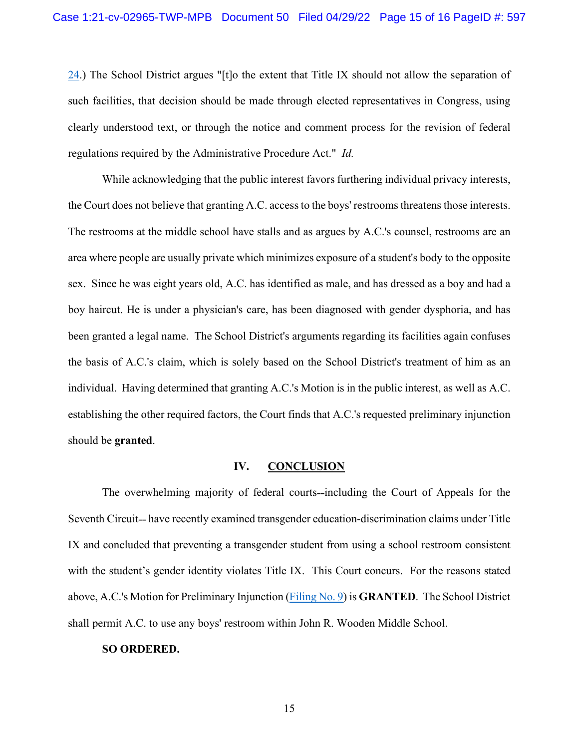24.) The School District argues "[t]o the extent that Title IX should not allow the separation of such facilities, that decision should be made through elected representatives in Congress, using clearly understood text, or through the notice and comment process for the revision of federal regulations required by the Administrative Procedure Act." *Id.*

While acknowledging that the public interest favors furthering individual privacy interests, the Court does not believe that granting A.C. access to the boys' restrooms threatens those interests. The restrooms at the middle school have stalls and as argues by A.C.'s counsel, restrooms are an area where people are usually private which minimizes exposure of a student's body to the opposite sex. Since he was eight years old, A.C. has identified as male, and has dressed as a boy and had a boy haircut. He is under a physician's care, has been diagnosed with gender dysphoria, and has been granted a legal name. The School District's arguments regarding its facilities again confuses the basis of A.C.'s claim, which is solely based on the School District's treatment of him as an individual. Having determined that granting A.C.'s Motion is in the public interest, as well as A.C. establishing the other required factors, the Court finds that A.C.'s requested preliminary injunction should be **granted**.

#### **IV. CONCLUSION**

The overwhelming majority of federal courts—including the Court of Appeals for the Seventh Circuit— have recently examined transgender education-discrimination claims under Title IX and concluded that preventing a transgender student from using a school restroom consistent with the student's gender identity violates Title IX. This Court concurs. For the reasons stated above, A.C.'s Motion for Preliminary Injunction (Filing No. 9) is **GRANTED**. The School District shall permit A.C. to use any boys' restroom within John R. Wooden Middle School.

#### **SO ORDERED.**